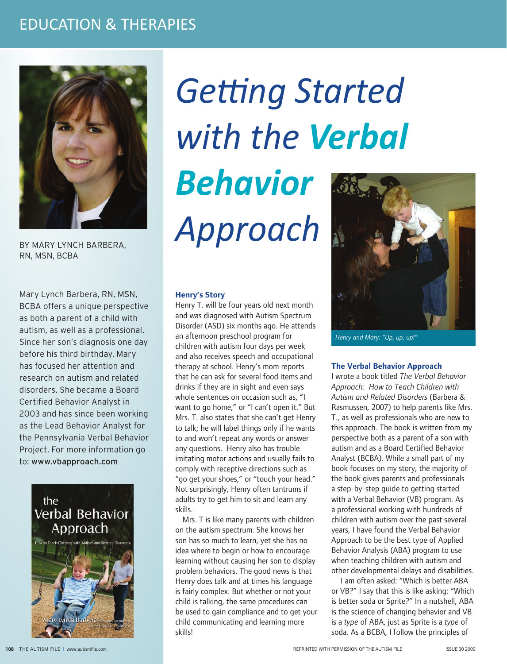# EDUCATION & THERAPIES



BY Mary Lynch Barbera, RN, MSN, BCBA

Mary Lynch Barbera, RN, MSN, BCBA offers a unique perspective as both a parent of a child with autism, as well as a professional. Since her son's diagnosis one day before his third birthday, Mary has focused her attention and research on autism and related disorders. She became a Board Certified Behavior Analyst in 2003 and has since been working as the Lead Behavior Analyst for the Pennsylvania Verbal Behavior Project. For more information go to: www.vbapproach.com



# *Getting Started*  with the **Verbal**

*Behavior Approach*

# **Henry's Story**

Henry T. will be four years old next month and was diagnosed with Autism Spectrum Disorder (ASD) six months ago. He attends an afternoon preschool program for children with autism four days per week and also receives speech and occupational therapy at school. Henry's mom reports that he can ask for several food items and drinks if they are in sight and even says whole sentences on occasion such as, "I want to go home," or "I can't open it." But Mrs. T. also states that she can't get Henry to talk; he will label things only if he wants to and won't repeat any words or answer any questions. Henry also has trouble imitating motor actions and usually fails to comply with receptive directions such as "go get your shoes," or "touch your head." Not surprisingly, Henry often tantrums if adults try to get him to sit and learn any skills.

Mrs. T is like many parents with children on the autism spectrum. She knows her son has so much to learn, yet she has no idea where to begin or how to encourage learning without causing her son to display problem behaviors. The good news is that Henry does talk and at times his language is fairly complex. But whether or not your child is talking, the same procedures can be used to gain compliance and to get your child communicating and learning more skills!



*Henry and Mary: "Up, up, up!"*

#### **The Verbal Behavior Approach**

I wrote a book titled *The Verbal Behavior Approach: How to Teach Children with Autism and Related Disorders* (Barbera & Rasmussen, 2007) to help parents like Mrs. T., as well as professionals who are new to this approach. The book is written from my perspective both as a parent of a son with autism and as a Board Certified Behavior Analyst (BCBA). While a small part of my book focuses on my story, the majority of the book gives parents and professionals a step-by-step guide to getting started with a Verbal Behavior (VB) program. As a professional working with hundreds of children with autism over the past several years, I have found the Verbal Behavior Approach to be the best type of Applied Behavior Analysis (ABA) program to use when teaching children with autism and other developmental delays and disabilities.

 I am often asked: "Which is better ABA or VB?" I say that this is like asking: "Which is better soda or Sprite?" In a nutshell, ABA is the science of changing behavior and VB is a *type* of ABA, just as Sprite is a *type* of soda. As a BCBA, I follow the principles of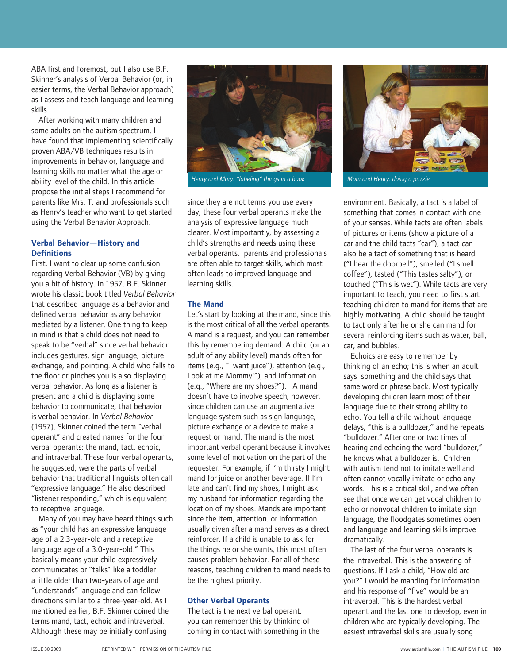ABA first and foremost, but I also use B.F. Skinner's analysis of Verbal Behavior (or, in easier terms, the Verbal Behavior approach) as I assess and teach language and learning skills.

After working with many children and some adults on the autism spectrum, I have found that implementing scientifically proven ABA/VB techniques results in improvements in behavior, language and learning skills no matter what the age or ability level of the child. In this article I propose the initial steps I recommend for parents like Mrs. T. and professionals such as Henry's teacher who want to get started using the Verbal Behavior Approach.

# **Verbal Behavior—History and Definitions**

First, I want to clear up some confusion regarding Verbal Behavior (VB) by giving you a bit of history. In 1957, B.F. Skinner wrote his classic book titled *Verbal Behavior* that described language as a behavior and defined verbal behavior as any behavior mediated by a listener. One thing to keep in mind is that a child does not need to speak to be "verbal" since verbal behavior includes gestures, sign language, picture exchange, and pointing. A child who falls to the floor or pinches you is also displaying verbal behavior. As long as a listener is present and a child is displaying some behavior to communicate, that behavior is verbal behavior. In *Verbal Behavior*  (1957), Skinner coined the term "verbal operant" and created names for the four verbal operants: the mand, tact, echoic, and intraverbal. These four verbal operants, he suggested, were the parts of verbal behavior that traditional linguists often call "expressive language." He also described "listener responding," which is equivalent to receptive language.

Many of you may have heard things such as "your child has an expressive language age of a 2.3-year-old and a receptive language age of a 3.0-year-old." This basically means your child expressively communicates or "talks" like a toddler a little older than two-years of age and "understands" language and can follow directions similar to a three-year-old. As I mentioned earlier, B.F. Skinner coined the terms mand, tact, echoic and intraverbal. Although these may be initially confusing



*Henry and Mary: "labeling" things in a book Mom and Henry: doing a puzzle*

since they are not terms you use every day, these four verbal operants make the analysis of expressive language much clearer. Most importantly, by assessing a child's strengths and needs using these verbal operants, parents and professionals are often able to target skills, which most often leads to improved language and learning skills.

# **The Mand**

Let's start by looking at the mand, since this is the most critical of all the verbal operants. A mand is a request, and you can remember this by remembering demand. A child (or an adult of any ability level) mands often for items (e.g., "I want juice"), attention (e.g., Look at me Mommy!"), and information (e.g., "Where are my shoes?"). A mand doesn't have to involve speech, however, since children can use an augmentative language system such as sign language, picture exchange or a device to make a request or mand. The mand is the most important verbal operant because it involves some level of motivation on the part of the requester. For example, if I'm thirsty I might mand for juice or another beverage. If I'm late and can't find my shoes, I might ask my husband for information regarding the location of my shoes. Mands are important since the item, attention. or information usually given after a mand serves as a direct reinforcer. If a child is unable to ask for the things he or she wants, this most often causes problem behavior. For all of these reasons, teaching children to mand needs to be the highest priority.

# **Other Verbal Operants**

The tact is the next verbal operant; you can remember this by thinking of coming in contact with something in the



environment. Basically, a tact is a label of something that comes in contact with one of your senses. While tacts are often labels of pictures or items (show a picture of a car and the child tacts "car"), a tact can also be a tact of something that is heard ("I hear the doorbell"), smelled ("I smell coffee"), tasted ("This tastes salty"), or touched ("This is wet"). While tacts are very important to teach, you need to first start teaching children to mand for items that are highly motivating. A child should be taught to tact only after he or she can mand for several reinforcing items such as water, ball, car, and bubbles.

Echoics are easy to remember by thinking of an echo; this is when an adult says something and the child says that same word or phrase back. Most typically developing children learn most of their language due to their strong ability to echo. You tell a child without language delays, "this is a bulldozer," and he repeats "bulldozer." After one or two times of hearing and echoing the word "bulldozer," he knows what a bulldozer is. Children with autism tend not to imitate well and often cannot vocally imitate or echo any words. This is a critical skill, and we often see that once we can get vocal children to echo or nonvocal children to imitate sign language, the floodgates sometimes open and language and learning skills improve dramatically.

The last of the four verbal operants is the intraverbal. This is the answering of questions. If I ask a child, "How old are you?" I would be manding for information and his response of "five" would be an intraverbal. This is the hardest verbal operant and the last one to develop, even in children who are typically developing. The easiest intraverbal skills are usually song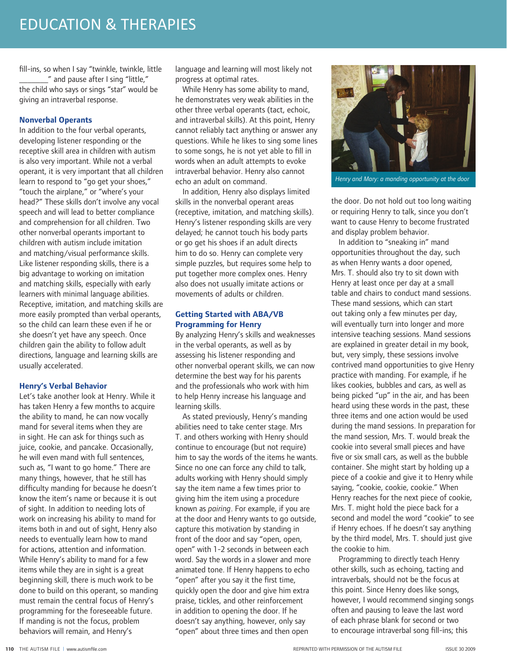fill-ins, so when I say "twinkle, twinkle, little \_\_\_\_\_\_\_" and pause after I sing "little," the child who says or sings "star" would be giving an intraverbal response.

# **Nonverbal Operants**

In addition to the four verbal operants, developing listener responding or the receptive skill area in children with autism is also very important. While not a verbal operant, it is very important that all children learn to respond to "go get your shoes," "touch the airplane," or "where's your head?" These skills don't involve any vocal speech and will lead to better compliance and comprehension for all children. Two other nonverbal operants important to children with autism include imitation and matching/visual performance skills. Like listener responding skills, there is a big advantage to working on imitation and matching skills, especially with early learners with minimal language abilities. Receptive, imitation, and matching skills are more easily prompted than verbal operants, so the child can learn these even if he or she doesn't yet have any speech. Once children gain the ability to follow adult directions, language and learning skills are usually accelerated.

# **Henry's Verbal Behavior**

Let's take another look at Henry. While it has taken Henry a few months to acquire the ability to mand, he can now vocally mand for several items when they are in sight. He can ask for things such as juice, cookie, and pancake. Occasionally, he will even mand with full sentences, such as, "I want to go home." There are many things, however, that he still has difficulty manding for because he doesn't know the item's name or because it is out of sight. In addition to needing lots of work on increasing his ability to mand for items both in and out of sight, Henry also needs to eventually learn how to mand for actions, attention and information. While Henry's ability to mand for a few items while they are in sight is a great beginning skill, there is much work to be done to build on this operant, so manding must remain the central focus of Henry's programming for the foreseeable future. If manding is not the focus, problem behaviors will remain, and Henry's

language and learning will most likely not progress at optimal rates.

While Henry has some ability to mand, he demonstrates very weak abilities in the other three verbal operants (tact, echoic, and intraverbal skills). At this point, Henry cannot reliably tact anything or answer any questions. While he likes to sing some lines to some songs, he is not yet able to fill in words when an adult attempts to evoke intraverbal behavior. Henry also cannot echo an adult on command.

In addition, Henry also displays limited skills in the nonverbal operant areas (receptive, imitation, and matching skills). Henry's listener responding skills are very delayed; he cannot touch his body parts or go get his shoes if an adult directs him to do so. Henry can complete very simple puzzles, but requires some help to put together more complex ones. Henry also does not usually imitate actions or movements of adults or children.

# **Getting Started with ABA/VB Programming for Henry**

By analyzing Henry's skills and weaknesses in the verbal operants, as well as by assessing his listener responding and other nonverbal operant skills, we can now determine the best way for his parents and the professionals who work with him to help Henry increase his language and learning skills.

As stated previously, Henry's manding abilities need to take center stage. Mrs T. and others working with Henry should continue to encourage (but not require) him to say the words of the items he wants. Since no one can force any child to talk, adults working with Henry should simply say the item name a few times prior to giving him the item using a procedure known as *pairing*. For example, if you are at the door and Henry wants to go outside, capture this motivation by standing in front of the door and say "open, open, open" with 1-2 seconds in between each word. Say the words in a slower and more animated tone. If Henry happens to echo "open" after you say it the first time, quickly open the door and give him extra praise, tickles, and other reinforcement in addition to opening the door. If he doesn't say anything, however, only say "open" about three times and then open



*Henry and Mary: a manding opportunity at the door*

the door. Do not hold out too long waiting or requiring Henry to talk, since you don't want to cause Henry to become frustrated and display problem behavior.

In addition to "sneaking in" mand opportunities throughout the day, such as when Henry wants a door opened, Mrs. T. should also try to sit down with Henry at least once per day at a small table and chairs to conduct mand sessions. These mand sessions, which can start out taking only a few minutes per day, will eventually turn into longer and more intensive teaching sessions. Mand sessions are explained in greater detail in my book, but, very simply, these sessions involve contrived mand opportunities to give Henry practice with manding. For example, if he likes cookies, bubbles and cars, as well as being picked "up" in the air, and has been heard using these words in the past, these three items and one action would be used during the mand sessions. In preparation for the mand session, Mrs. T. would break the cookie into several small pieces and have five or six small cars, as well as the bubble container. She might start by holding up a piece of a cookie and give it to Henry while saying, "cookie, cookie, cookie." When Henry reaches for the next piece of cookie, Mrs. T. might hold the piece back for a second and model the word "cookie" to see if Henry echoes. If he doesn't say anything by the third model, Mrs. T. should just give the cookie to him.

Programming to directly teach Henry other skills, such as echoing, tacting and intraverbals, should not be the focus at this point. Since Henry does like songs, however, I would recommend singing songs often and pausing to leave the last word of each phrase blank for second or two to encourage intraverbal song fill-ins; this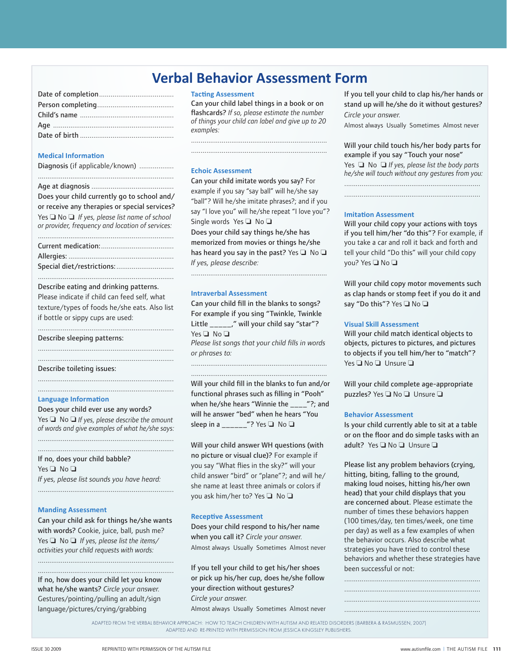# **Verbal Behavior Assessment Form**

#### **Medical Information**

Diagnosis (if applicable/known) ..................

Does your child currently go to school and/ or receive any therapies or special services? Yes ❏ No ❏ *If yes, please list name of school or provider, frequency and location of services:*

....................................................................... Current medication:...................................... Allergies: ....................................................... Special diet/restrictions:..............................

.......................................................................

#### Describe eating and drinking patterns.

Please indicate if child can feed self, what texture/types of foods he/she eats. Also list if bottle or sippy cups are used:

.......................................................................

#### Describe sleeping patterns:

....................................................................... .......................................................................

Describe toileting issues:

#### **Language Information**

Does your child ever use any words? Yes ❏ No ❏ *If yes, please describe the amount of words and give examples of what he/she says:*

.......................................................................

....................................................................... .......................................................................

....................................................................... If no, does your child babble? Yes ❏ No ❏

*If yes, please list sounds you have heard:* .......................................................................

#### **Manding Assessment**

Can your child ask for things he/she wants with words? Cookie, juice, ball, push me? Yes ❏ No ❏ *If yes, please list the items/ activities your child requests with words:*

.......................................................................

If no, how does your child let you know what he/she wants? *Circle your answer.* Gestures/pointing/pulling an adult/sign language/pictures/crying/grabbing

#### **Tacting Assessment**

Can your child label things in a book or on flashcards? *If so, please estimate the number of things your child can label and give up to 20 examples:*

....................................................................... .......................................................................

#### **Echoic Assessment**

Can your child imitate words you say? For example if you say "say ball" will he/she say "ball"? Will he/she imitate phrases?; and if you say "I love you" will he/she repeat "I love you"? Single words Yes ❏ No ❏ Does your child say things he/she has memorized from movies or things he/she has heard you say in the past? Yes ❏ No ❏ *If yes, please describe:* .......................................................................

#### **Intraverbal Assessment**

Can your child fill in the blanks to songs? For example if you sing "Twinkle, Twinkle Little \_\_\_\_\_\_," will your child say "star"? Yes ❏ No ❏ *Please list songs that your child fills in words or phrases to:* .......................................................................

Will your child fill in the blanks to fun and/or functional phrases such as filling in "Pooh" when he/she hears "Winnie the \_\_\_\_\_"?; and will he answer "bed" when he hears "You sleep in a \_\_\_\_\_\_"? Yes ❏ No ❏

.......................................................................

Will your child answer WH questions (with no picture or visual clue)? For example if you say "What flies in the sky?" will your child answer "bird" or "plane"?; and will he/ she name at least three animals or colors if you ask him/her to? Yes ❏ No ❏

#### **Receptive Assessment**

Does your child respond to his/her name when you call it? *Circle your answer.* Almost always Usually Sometimes Almost never

If you tell your child to get his/her shoes or pick up his/her cup, does he/she follow your direction without gestures? *Circle your answer.*

Almost always Usually Sometimes Almost never

If you tell your child to clap his/her hands or stand up will he/she do it without gestures? *Circle your answer.*

Almost always Usually Sometimes Almost never

Will your child touch his/her body parts for example if you say "Touch your nose"

Yes ❏ No ❏ *If yes, please list the body parts he/she will touch without any gestures from you:*

....................................................................... .......................................................................

#### **Imitation Assessment**

Will your child copy your actions with toys if you tell him/her "do this"? For example, if you take a car and roll it back and forth and tell your child "Do this" will your child copy you? Yes ❏ No ❏

Will your child copy motor movements such as clap hands or stomp feet if you do it and say "Do this"? Yes □ No □

#### **Visual Skill Assessment**

Will your child match identical objects to objects, pictures to pictures, and pictures to objects if you tell him/her to "match"? Yes ❏ No ❏ Unsure ❏

Will your child complete age-appropriate puzzles? Yes ❏ No ❏ Unsure ❏

#### **Behavior Assessment**

Is your child currently able to sit at a table or on the floor and do simple tasks with an adult? Yes ❏ No ❏ Unsure ❏

Please list any problem behaviors (crying, hitting, biting, falling to the ground, making loud noises, hitting his/her own head) that your child displays that you are concerned about. Please estimate the number of times these behaviors happen (100 times/day, ten times/week, one time per day) as well as a few examples of when the behavior occurs. Also describe what strategies you have tried to control these behaviors and whether these strategies have been successful or not:

.......................................................................

.......................................................................

ADAPTED FROM THE VERBAL BEHAVIOR APPROACH: HOW TO TEACH CHILDREN WITH AUTISM AND RELATED DISORDERS (BARBERA & RASMUSSEN, 2007) ADAPTED AND RE-PRINTED WITH PERMISSION FROM JESSICA KINGSLEY PUBLISHERS.